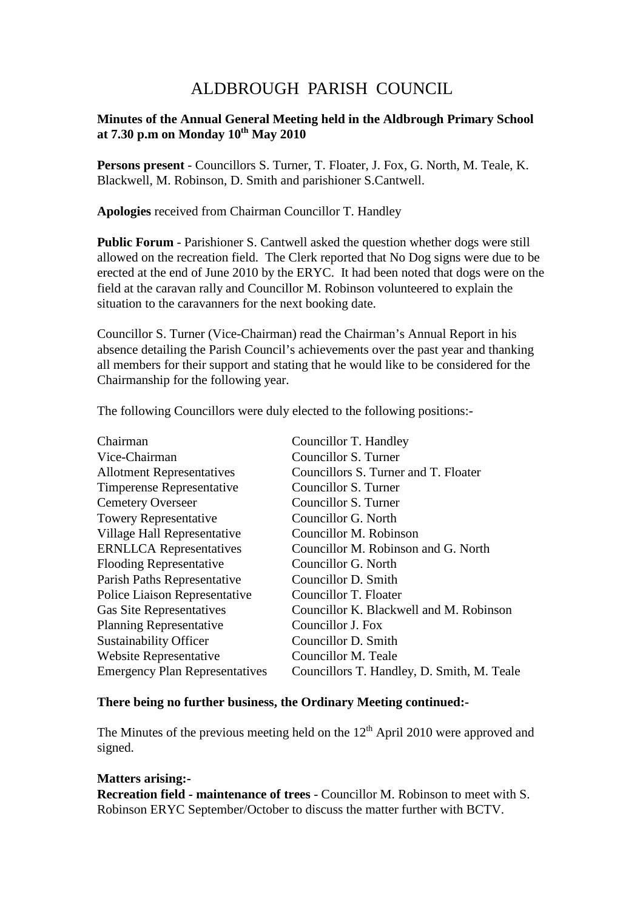# ALDBROUGH PARISH COUNCIL

## **Minutes of the Annual General Meeting held in the Aldbrough Primary School at 7.30 p.m on Monday 10th May 2010**

**Persons present** - Councillors S. Turner, T. Floater, J. Fox, G. North, M. Teale, K. Blackwell, M. Robinson, D. Smith and parishioner S.Cantwell.

**Apologies** received from Chairman Councillor T. Handley

**Public Forum** - Parishioner S. Cantwell asked the question whether dogs were still allowed on the recreation field. The Clerk reported that No Dog signs were due to be erected at the end of June 2010 by the ERYC. It had been noted that dogs were on the field at the caravan rally and Councillor M. Robinson volunteered to explain the situation to the caravanners for the next booking date.

Councillor S. Turner (Vice-Chairman) read the Chairman's Annual Report in his absence detailing the Parish Council's achievements over the past year and thanking all members for their support and stating that he would like to be considered for the Chairmanship for the following year.

The following Councillors were duly elected to the following positions:-

| Chairman                              | Councillor T. Handley                      |
|---------------------------------------|--------------------------------------------|
| Vice-Chairman                         | Councillor S. Turner                       |
| <b>Allotment Representatives</b>      | Councillors S. Turner and T. Floater       |
| <b>Timperense Representative</b>      | Councillor S. Turner                       |
| <b>Cemetery Overseer</b>              | Councillor S. Turner                       |
| <b>Towery Representative</b>          | Councillor G. North                        |
| Village Hall Representative           | Councillor M. Robinson                     |
| <b>ERNLLCA</b> Representatives        | Councillor M. Robinson and G. North        |
| <b>Flooding Representative</b>        | Councillor G. North                        |
| Parish Paths Representative           | Councillor D. Smith                        |
| Police Liaison Representative         | Councillor T. Floater                      |
| <b>Gas Site Representatives</b>       | Councillor K. Blackwell and M. Robinson    |
| <b>Planning Representative</b>        | Councillor J. Fox                          |
| <b>Sustainability Officer</b>         | Councillor D. Smith                        |
| Website Representative                | Councillor M. Teale                        |
| <b>Emergency Plan Representatives</b> | Councillors T. Handley, D. Smith, M. Teale |

#### **There being no further business, the Ordinary Meeting continued:-**

The Minutes of the previous meeting held on the  $12<sup>th</sup>$  April 2010 were approved and signed.

#### **Matters arising:-**

**Recreation field - maintenance of trees** - Councillor M. Robinson to meet with S. Robinson ERYC September/October to discuss the matter further with BCTV.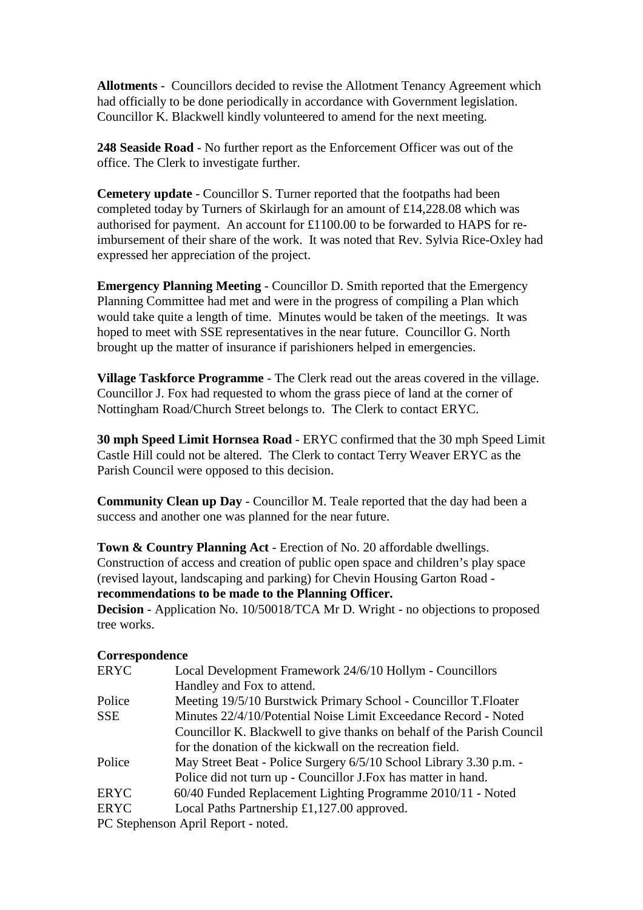**Allotments** - Councillors decided to revise the Allotment Tenancy Agreement which had officially to be done periodically in accordance with Government legislation. Councillor K. Blackwell kindly volunteered to amend for the next meeting.

**248 Seaside Road** - No further report as the Enforcement Officer was out of the office. The Clerk to investigate further.

**Cemetery update** - Councillor S. Turner reported that the footpaths had been completed today by Turners of Skirlaugh for an amount of £14,228.08 which was authorised for payment. An account for £1100.00 to be forwarded to HAPS for reimbursement of their share of the work. It was noted that Rev. Sylvia Rice-Oxley had expressed her appreciation of the project.

**Emergency Planning Meeting** - Councillor D. Smith reported that the Emergency Planning Committee had met and were in the progress of compiling a Plan which would take quite a length of time. Minutes would be taken of the meetings. It was hoped to meet with SSE representatives in the near future. Councillor G. North brought up the matter of insurance if parishioners helped in emergencies.

**Village Taskforce Programme** - The Clerk read out the areas covered in the village. Councillor J. Fox had requested to whom the grass piece of land at the corner of Nottingham Road/Church Street belongs to. The Clerk to contact ERYC.

**30 mph Speed Limit Hornsea Road** - ERYC confirmed that the 30 mph Speed Limit Castle Hill could not be altered. The Clerk to contact Terry Weaver ERYC as the Parish Council were opposed to this decision.

**Community Clean up Day** - Councillor M. Teale reported that the day had been a success and another one was planned for the near future.

**Town & Country Planning Act** - Erection of No. 20 affordable dwellings. Construction of access and creation of public open space and children's play space (revised layout, landscaping and parking) for Chevin Housing Garton Road **recommendations to be made to the Planning Officer.**

**Decision** - Application No. 10/50018/TCA Mr D. Wright - no objections to proposed tree works.

### **Correspondence**

| <b>ERYC</b> | Local Development Framework 24/6/10 Hollym - Councillors               |
|-------------|------------------------------------------------------------------------|
|             | Handley and Fox to attend.                                             |
| Police      | Meeting 19/5/10 Burstwick Primary School - Councillor T.Floater        |
| <b>SSE</b>  | Minutes 22/4/10/Potential Noise Limit Exceedance Record - Noted        |
|             | Councillor K. Blackwell to give thanks on behalf of the Parish Council |
|             | for the donation of the kickwall on the recreation field.              |
| Police      | May Street Beat - Police Surgery 6/5/10 School Library 3.30 p.m. -     |
|             | Police did not turn up - Councillor J. Fox has matter in hand.         |
| <b>ERYC</b> | 60/40 Funded Replacement Lighting Programme 2010/11 - Noted            |
| <b>ERYC</b> | Local Paths Partnership £1,127.00 approved.                            |
|             | DC Staphanson April Danort, noted                                      |

PC Stephenson April Report - noted.